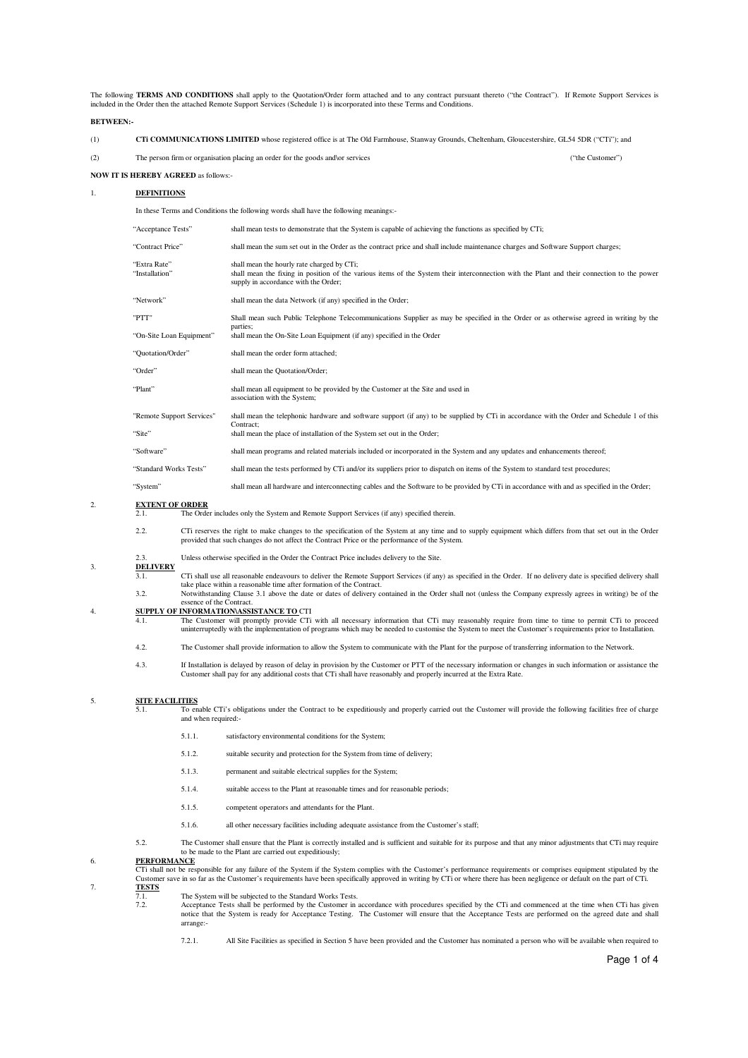The following **TERMS AND CONDITIONS** shall apply to the Quotation/Order form attached and to any contract pursuant thereto ("the Contract"). If Remote Support Services is included in the Order then the attached Remote Support Services (Schedule 1) is incorporated into these Terms and Conditions.

### **BETWEEN:-**

| CTi COMMUNICATIONS LIMITED whose registered office is at The Old Farmhouse, Stanway Grounds, Cheltenham, Gloucestershire, GL54 5DR ("CTi"); and |  |
|-------------------------------------------------------------------------------------------------------------------------------------------------|--|
|                                                                                                                                                 |  |

(2) The person firm or organisation placing an order for the goods and\or services ("the Customer")

**NOW IT IS HEREBY AGREED** as follows:-

### 1. **DEFINITIONS**

In these Terms and Conditions the following words shall have the following meanings:-

| "Acceptance Tests"             | shall mean tests to demonstrate that the System is capable of achieving the functions as specified by CTi;                                                                                                                        |
|--------------------------------|-----------------------------------------------------------------------------------------------------------------------------------------------------------------------------------------------------------------------------------|
| "Contract Price"               | shall mean the sum set out in the Order as the contract price and shall include maintenance charges and Software Support charges;                                                                                                 |
| "Extra Rate"<br>"Installation" | shall mean the hourly rate charged by CTi;<br>shall mean the fixing in position of the various items of the System their interconnection with the Plant and their connection to the power<br>supply in accordance with the Order; |
| "Network"                      | shall mean the data Network (if any) specified in the Order;                                                                                                                                                                      |
| "PTT"                          | Shall mean such Public Telephone Telecommunications Supplier as may be specified in the Order or as otherwise agreed in writing by the<br>parties;                                                                                |
| "On-Site Loan Equipment"       | shall mean the On-Site Loan Equipment (if any) specified in the Order                                                                                                                                                             |
| "Quotation/Order"              | shall mean the order form attached;                                                                                                                                                                                               |
| "Order"                        | shall mean the Quotation/Order;                                                                                                                                                                                                   |
| "Plant"                        | shall mean all equipment to be provided by the Customer at the Site and used in<br>association with the System;                                                                                                                   |
| "Remote Support Services"      | shall mean the telephonic hardware and software support (if any) to be supplied by CTi in accordance with the Order and Schedule 1 of this<br>Contract:                                                                           |
| "Site"                         | shall mean the place of installation of the System set out in the Order;                                                                                                                                                          |
| "Software"                     | shall mean programs and related materials included or incorporated in the System and any updates and enhancements thereof;                                                                                                        |
| "Standard Works Tests"         | shall mean the tests performed by CTi and/or its suppliers prior to dispatch on items of the System to standard test procedures;                                                                                                  |
| "System"                       | shall mean all hardware and interconnecting cables and the Software to be provided by CTi in accordance with and as specified in the Order;                                                                                       |

# 2. **EXTENT OF ORDER**

The Order includes only the System and Remote Support Services (if any) specified therein.

- 2.2. CTi reserves the right to make changes to the specification of the System at any time and to supply equipment which differs from that set out in the Order<br>provided that such changes do not affect the Contract Price or
- 2.3. Unless otherwise specified in the Order the Contract Price includes delivery to the Site.

## 3. **DELIVERY**

- $\frac{22.21333322}{3.11}$  CTi shall use all reasonable endeavours to deliver the Remote Support Services (if any) as specified in the Order. If no delivery date is specified delivery shall take place within a reasonable time after formation of the Contract.
- 3.2. Notwithstanding Clause 3.1 above the date or dates of delivery contained in the Order shall not (unless the Company expressly agrees in writing) be of the essence of the Contract.

4. **SUPPLY OF INFORMATION\ASSISTANCE TO** CTI 4.1. The Customer will promptly provide CTi with all necessary information that CTi may reasonably require from time to time to permit CTi to proceed uninterruptedly with the implementation of programs which may be needed to customise the System to meet the Customer's requirements prior to Installation.

- 4.2. The Customer shall provide information to allow the System to communicate with the Plant for the purpose of transferring information to the Network.
- 4.3. If Installation is delayed by reason of delay in provision by the Customer or PTT of the necessary information or changes in such information or assistance the Customer shall pay for any additional costs that CTi shal

## 5. **SITE FACILITIES**

- $\frac{6.11}{5.1}$  To enable CTi's obligations under the Contract to be expeditiously and properly carried out the Customer will provide the following facilities free of charge and when required:
	- 5.1.1. satisfactory environmental conditions for the System;
	- 5.1.2. suitable security and protection for the System from time of delivery;
	- 5.1.3. permanent and suitable electrical supplies for the System;
	- 5.1.4. suitable access to the Plant at reasonable times and for reasonable periods;
	- 5.1.5. competent operators and attendants for the Plant.
	- 5.1.6. all other necessary facilities including adequate assistance from the Customer's staff;
- 5.2. The Customer shall ensure that the Plant is correctly installed and is sufficient and suitable for its purpose and that any minor adjustments that CTi may require to be made to the Plant are carried out expeditiously;

# 6. **PERFORMANCE**

CTi shall not be responsible for any failure of the System if the System complies with the Customer's performance requirements or comprises equipment stipulated by the<br>Customer save in so far as the Customer's requirements 7. **TESTS**

The System will be subjected to the Standard Works Tests.<br>
T 2 Accentance Tests shall be nerformed by the Customer in

7.2. Acceptance Tests shall be performed by the Customer in accordance with procedures specified by the CTi and commenced at the time when CTi has given<br>notice that the System is ready for Acceptance Testing. The Customer arrange:-

7.2.1. All Site Facilities as specified in Section 5 have been provided and the Customer has nominated a person who will be available when required to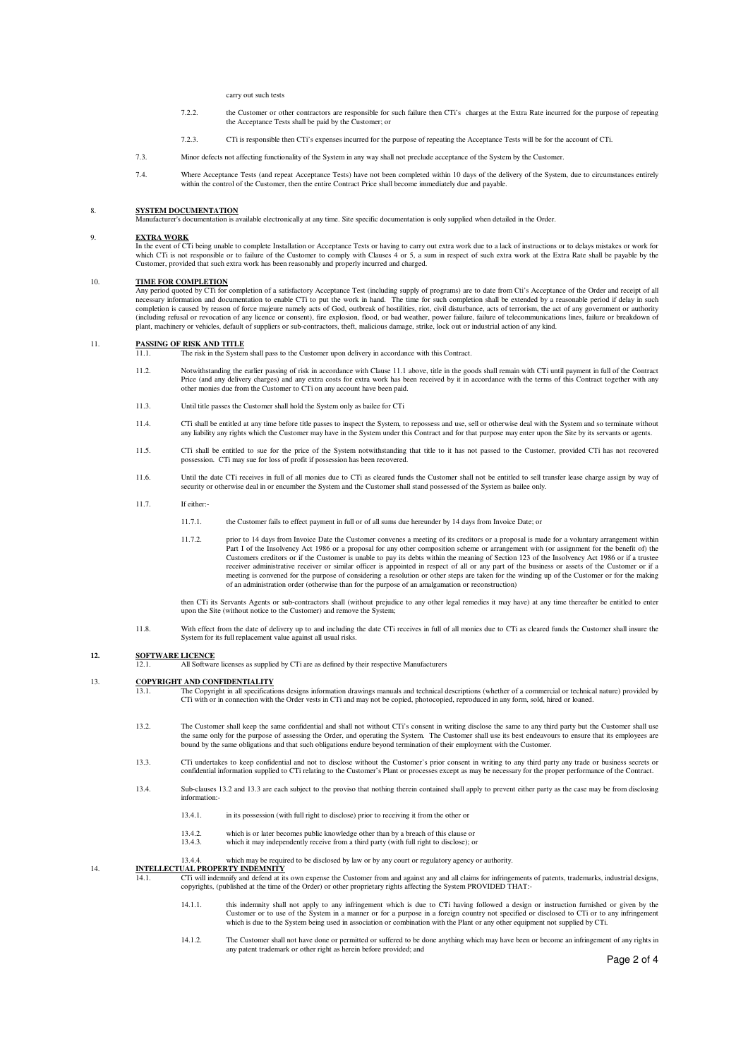carry out such tests

- 7.2.2. the Customer or other contractors are responsible for such failure then CTi's charges at the Extra Rate incurred for the purpose of repeating the Acceptance Tests shall be paid by the Customer; or
- 7.2.3. CTi is responsible then CTi's expenses incurred for the purpose of repeating the Acceptance Tests will be for the account of CTi.
- 7.3. Minor defects not affecting functionality of the System in any way shall not preclude acceptance of the System by the Customer.
- 7.4. Where Acceptance Tests (and repeat Acceptance Tests) have not been completed within 10 days of the delivery of the System, due to circumstances entirely within the control of the Customer, then the entire Contract Pri

### 8. **SYSTEM DOCUMENTATION**

Manufacturer's documentation is available electronically at any time. Site specific documentation is only supplied when detailed in the Order.

### 9. **EXTRA WORK**

In the event of CTi being unable to complete Installation or Acceptance Tests or having to carry out extra work due to a lack of instructions or to delays mistakes or work for which CTi is not responsible or to failure of the Customer to comply with Clauses 4 or 5, a sum in respect of such extra work at the Extra Rate shall be payable by the which CTi is not responsible or to failure of the Cust Customer, provided that such extra work has been reasonably and properly incurred and charged.

### 10. **TIME FOR COMPLETION**

Any period quoted by CTi for completion of a satisfactory Acceptance Test (including supply of programs) are to date from Cti's Acceptance of the Order and receipt of all<br>Any period quoted by CTi for completion of a satisf necessary information and documentation to enable CTi to put the work in hand. The time for such completion shall be extended by a reasonable period if delay in such completion is caused by reason of force majeure namely acts of God, outbreak of hostilities, riot, civil disturbance, acts of terrorism, the act of any government or authority (including refusal or revocation of any licence or consent), fire explosion, flood, or bad weather, power failure, failure of telecommunications lines, failure or breakdown of plant, machinery or vehicles, default of suppliers or sub-contractors, theft, malicious damage, strike, lock out or industrial action of any kind.

11. **PASSING OF RISK AND TITLE**<br>11.1. The risk in the System shall pass to the Customer upon delivery in accordance with this Contract.

- 11.2. Notwithstanding the earlier passing of risk in accordance with Clause 11.1 above, title in the goods shall remain with CTi until payment in full of the Contract Price (and any delivery charges) and any extra costs for extra work has been received by it in accordance with the terms of this Contract together with any<br>other monies due from the Customer to CTi on any account have been
- 11.3. Until title passes the Customer shall hold the System only as bailee for CTi
- 11.4. CTi shall be entitled at any time before title passes to inspect the System, to repossess and use, sell or otherwise deal with the System and so terminate without any liability any rights which the Customer may have in the System under this Contract and for that purpose may enter upon the Site by its servants or agents.
- 11.5. CTi shall be entitled to sue for the price of the System notwithstanding that title to it has not passed to the Customer, provided CTi has not recovered possession. CTi may sue for loss of profit if possession has been recovered.
- 11.6. Until the date CTi receives in full of all monies due to CTi as cleared funds the Customer shall not be entitled to sell transfer lease charge assign by way of security or otherwise deal in or encumber the System and the Customer shall stand possessed of the System as bailee only.
- 11.7. If either:-
	- 11.7.1. the Customer fails to effect payment in full or of all sums due hereunder by 14 days from Invoice Date; or
	- 11.7.2. prior to 14 days from Invoice Date the Customer convenes a meeting of its creditors or a proposal is made for a voluntary arrangement within Part I of the Insolvency Act 1986 or a proposal for any other composition scheme or arrangement with (or assignment for the benefit of) the<br>Customers creditors or if the Customer is unable to pay its debts within the meani receiver administrative receiver or similar officer is appointed in respect of all or any part of the business or assets of the Customer or if a<br>meeting is convened for the purpose of considering a resolution or other step of an administration order (otherwise than for the purpose of an amalgamation or reconstruction)

then CTi its Servants Agents or sub-contractors shall (without prejudice to any other legal remedies it may have) at any time thereafter be entitled to enter upon the Site (without notice to the Customer) and remove the Sy

11.8. With effect from the date of delivery up to and including the date CTi receives in full of all monies due to CTi as cleared funds the Customer shall insure the System for its full replacement value against all usual risks.

### **12. SOFTWARE LICENCE**

12.1. All Software licenses as supplied by CTi are as defined by their respective Manufacturers

### 13. **COPYRIGHT AND CONFIDENTIALITY**

13.1. The Copyright in all specifications designs information drawings manuals and technical descriptions (whether of a commercial or technical nature) provided by CTi with or in connection with the Order vests in CTi and may not be copied, photocopied, reproduced in any form, sold, hired or loaned.

- 13.2. The Customer shall keep the same confidential and shall not without CTi's consent in writing disclose the same to any third party but the Customer shall use the same only for the purpose of assessing the Order, and operating the System. The Customer shall use its best endeavours to ensure that its employees are bound by the same obligations and that such obligations endure beyond termination of their employment with the Customer.
- 13.3. CTi undertakes to keep confidential and not to disclose without the Customer's prior consent in writing to any third party any trade or business secrets or confidential information supplied to CTi relating to the Customer's Plant or processes except as may be necessary for the proper performance of the Contract.
- 13.4. Sub-clauses 13.2 and 13.3 are each subject to the proviso that nothing therein contained shall apply to prevent either party as the case may be from disclosing information:-
	- 13.4.1. in its possession (with full right to disclose) prior to receiving it from the other or
	- 13.4.2. which is or later becomes public knowledge other than by a breach of this clause or 13.4.3. which it may independently receive from a third party (with full right to disclose); o
	- which it may independently receive from a third party (with full right to disclose); or

13.4.4. which may be required to be disclosed by law or by any court or regulatory agency or authority.

## 14. **INTELLECTUAL PROPERTY INDEMNITY**

- 14.1. CTi will indemnify and defend at its own expense the Customer from and against any and all claims for infringements of patents, trademarks, industrial designs, copyrights, (published at the time of the Order) or othe
	- 14.1.1. this indemnity shall not apply to any infringement which is due to CTi having followed a design or instruction furnished or given by the Customer or to use of the System in a manner or for a purpose in a foreign country not specified or disclosed to CTi or to any infringement which is due to the System being used in association or combination with the Plant or any other equipment not supplied by CTi.
	- 14.1.2. The Customer shall not have done or permitted or suffered to be done anything which may have been or become an infringement of any rights in any patent trademark or other right as herein before provided; and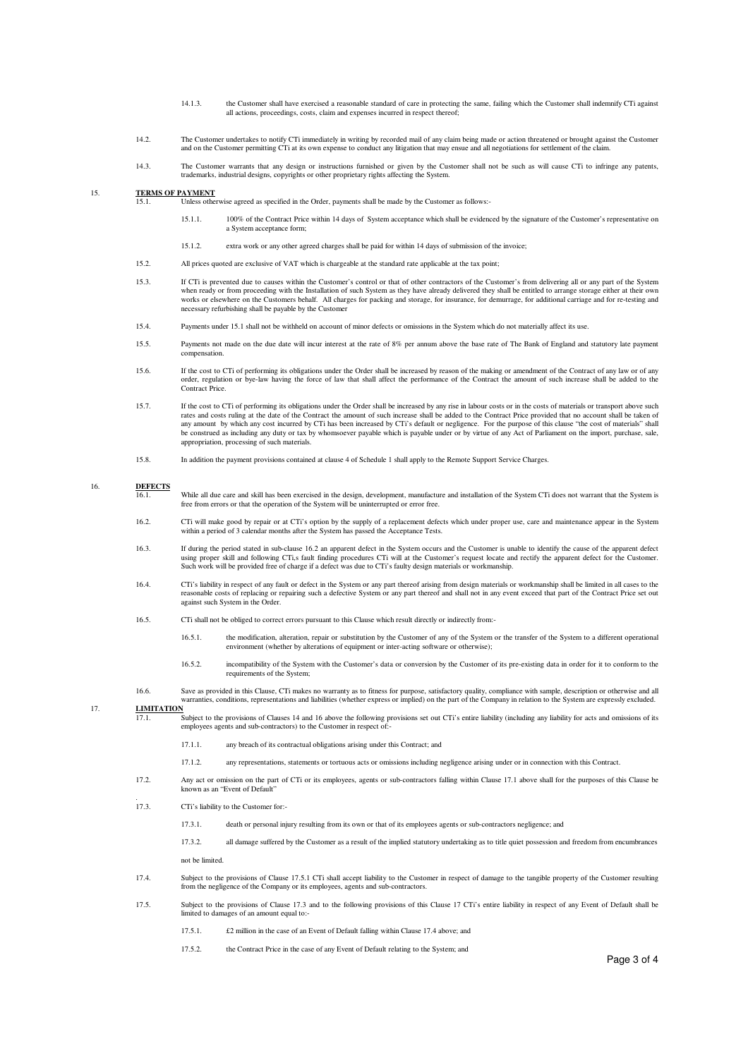- 14.1.3. the Customer shall have exercised a reasonable standard of care in protecting the same, failing which the Customer shall indemnify CTi against all actions, proceedings, costs, claim and expenses incurred in respect thereof
- 14.2. The Customer undertakes to notify CTi immediately in writing by recorded mail of any claim being made or action threatened or brought against the Customer<br>and on the Customer permitting CTi at its own expense to cond
- 14.3. The Customer warrants that any design or instructions furnished or given by the Customer shall not be such as will cause CTi to infringe any patents, trademarks, industrial designs, copyrights or other proprietary rights affecting the System.

### 15. **TERMS OF PAYMENT**

- 15.1. Unless otherwise agreed as specified in the Order, payments shall be made by the Customer as follows:-
	- 15.1.1. 100% of the Contract Price within 14 days of System acceptance which shall be evidenced by the signature of the Customer's representative on a System acceptance form;
	- 15.1.2. extra work or any other agreed charges shall be paid for within 14 days of submission of the invoice;
- 15.2. All prices quoted are exclusive of VAT which is chargeable at the standard rate applicable at the tax point;
- 15.3. If CTi is prevented due to causes within the Customer's control or that of other contractors of the Customer's from delivering all or any part of the System when ready or from proceeding with the Installation of such System as they have already delivered they shall be entitled to arrange storage either at their own<br>works or elsewhere on the Customers behalf. All charges for pa necessary refurbishing shall be payable by the Customer
- 15.4. Payments under 15.1 shall not be withheld on account of minor defects or omissions in the System which do not materially affect its use.
- 15.5. Payments not made on the due date will incur interest at the rate of 8% per annum above the base rate of The Bank of England and statutory late payment compensation.
- 15.6. If the cost to CTi of performing its obligations under the Order shall be increased by reason of the making or amendment of the Contract of any law or of any order, regulation or bye-law having the force of law that shall affect the performance of the Contract the amount of such increase shall be added to the Contract Price.
- 15.7. If the cost to CTi of performing its obligations under the Order shall be increased by any rise in labour costs or in the costs of materials or transport above such rates and costs ruling at the date of the Contract the amount of such increase shall be added to the Contract Price provided that no account shall be taken of<br>any amount by which any cost incurred by CTi has been increased be construed as including any duty or tax by whomsoever payable which is payable under or by virtue of any Act of Parliament on the import, purchase, sale, appropriation, processing of such materials.
- 15.8. In addition the payment provisions contained at clause 4 of Schedule 1 shall apply to the Remote Support Service Charges.

### 16. **DEFECTS**

- $\frac{16.1}{16.1}$  While all due care and skill has been exercised in the design, development, manufacture and installation of the System CTi does not warrant that the System is free from errors or that the operation of the System will be uninterrupted or error free.
- 16.2. CTi will make good by repair or at CTi's option by the supply of a replacement defects which under proper use, care and maintenance appear in the System within a period of 3 calendar months after the System has passed the Acceptance Tests.
- 16.3. If during the period stated in sub-clause 16.2 an apparent defect in the System occurs and the Customer is unable to identify the cause of the apparent defect using proper skill and following CTi,s fault finding procedures CTi will at the Customer's request locate and rectify the apparent defect for the Customer. Such work will be provided free of charge if a defect was due to CTi's faulty design materials or workmanship.
- 16.4. CTi's liability in respect of any fault or defect in the System or any part thereof arising from design materials or workmanship shall be limited in all cases to the reasonable costs of replacing or repairing such a against such System in the Order.
- 16.5. CTi shall not be obliged to correct errors pursuant to this Clause which result directly or indirectly from:-
	- 16.5.1. the modification, alteration, repair or substitution by the Customer of any of the System or the transfer of the System to a different operational environment (whether by alterations of equipment or inter-acting software or otherwise);
	- 16.5.2. incompatibility of the System with the Customer's data or conversion by the Customer of its pre-existing data in order for it to conform to the requirements of the System;
- 16.6. Save as provided in this Clause, CTi makes no warranty as to fitness for purpose, satisfactory quality, compliance with sample, description or otherwise and all warranties, conditions, representations and liabilities (whether express or implied) on the part of the Company in relation to the System are expressly excluded.

# 17. **LIMITATION**

17.1. Subject to the provisions of Clauses 14 and 16 above the following provisions set out CTi's entire liability (including any liability for acts and omissions of its employees agents and sub-contractors) to the Custome

- 17.1.1. any breach of its contractual obligations arising under this Contract; and
- 17.1.2. any representations, statements or tortuous acts or omissions including negligence arising under or in connection with this Contract.
- 17.2. Any act or omission on the part of CTi or its employees, agents or sub-contractors falling within Clause 17.1 above shall for the purposes of this Clause be known as an "Event of Default"
- 173 17.3. CTi's liability to the Customer for:-
	- 17.3.1. death or personal injury resulting from its own or that of its employees agents or sub-contractors negligence; and
	- 17.3.2. all damage suffered by the Customer as a result of the implied statutory undertaking as to title quiet possession and freedom from encumbrances not be limited.
- 17.4. Subject to the provisions of Clause 17.5.1 CTi shall accept liability to the Customer in respect of damage to the tangible property of the Customer resulting from the negligence of the Company or its employees, agents and sub-contractors.
- 17.5. Subject to the provisions of Clause 17.3 and to the following provisions of this Clause 17 CTi's entire liability in respect of any Event of Default shall be limited to damages of an amount equal to:-
	- 17.5.1. £2 million in the case of an Event of Default falling within Clause 17.4 above; and
	- 17.5.2. the Contract Price in the case of any Event of Default relating to the System; and